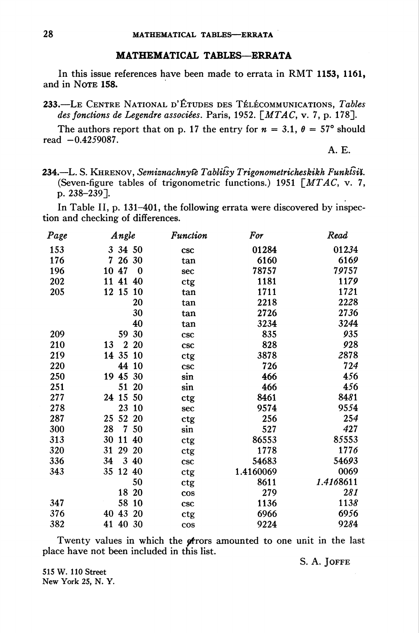## MATHEMATICAL TABLES—ERRATA

In this issue references have been made to errata in RMT 1153, 1161, and in Nore 158.

233.—Le Centre National d'Études des Télécommunications, Tables des fonctions de Legendre associées. Paris, 1952.  $\lceil MTAG, v. 7, p. 178 \rceil$ .

The authors report that on p. 17 the entry for  $n = 3.1$ ,  $\theta = 57^{\circ}$  should read  $-0.4259087$ .

A. E.

234.—L. S. KHRENOV, Semiznachnyte Tablifsy Trigonometricheskikh Funktsiy. (Seven-figure tables of trigonometric functions.) 1951  $\lceil MTAG, v. 7, \rceil$ p. 238-239].

In Table II, p. 131-401, the following errata were discovered by inspection and checking of differences.

| Page | Angle                  |           | <b>Function</b>           | For       | Read      |
|------|------------------------|-----------|---------------------------|-----------|-----------|
| 153  | 3 34 50                |           | <b>CSC</b>                | 01284     | 01234     |
| 176  | 7<br>26 30             |           | tan                       | 6160      | 6169      |
| 196  | 10 47                  | $\bf{0}$  | sec                       | 78757     | 79757     |
| 202  | 11 41 40               |           | ctg                       | 1181      | 1179      |
| 205  | 12 15                  | 10        | tan                       | 1711      | 1721      |
|      |                        | 20        | tan                       | 2218      | 2228      |
|      |                        | 30        | tan                       | 2726      | 2736      |
|      |                        | 40        | tan                       | 3234      | 3244      |
| 209  | 59                     | 30        | <b>CSC</b>                | 835       | 935       |
| 210  | $\boldsymbol{2}$<br>13 | 20        | <b>CSC</b>                | 828       | 928       |
| 219  | 14 35                  | 10        | ctg                       | 3878      | 2878      |
| 220  | 44                     | 10        | <b>CSC</b>                | 726       | 724       |
| 250  | 19 45                  | 30        | sin                       | 466       | 456       |
| 251  | 51                     | 20        | sin                       | 466       | 456       |
| 277  | 24 15 50               |           | ctg                       | 8461      | 8481      |
| 278  | 23                     | <b>10</b> | sec                       | 9574      | 9554      |
| 287  | 52<br>25               | 20        | ctg                       | 256       | 254       |
| 300  | 28<br>7                | 50        | sin                       | 527       | 427       |
| 313  | 30<br>11               | 40        | ctg                       | 86553     | 85553     |
| 320  | 29<br>31               | 20        | $\ensuremath{\text{ctg}}$ | 1778      | 1776      |
| 336  | 34                     | 3 40      | <b>CSC</b>                | 54683     | 54693     |
| 343  | 12 40<br>35            |           | ctg                       | 1.4160069 | 0069      |
|      |                        | 50        | ctg                       | 8611      | 1.4168611 |
|      | 18 20                  |           | cos                       | 279       | 281       |
| 347  | 58                     | <b>10</b> | <b>CSC</b>                | 1136      | 1138      |
| 376  | 40 43                  | <b>20</b> | ctg                       | 6966      | 6956      |
| 382  | 41 40 30               |           | cos                       | 9224      | 9284      |

Twenty values in which the pfrors amounted to one unit in the last place have not been included in this list.

S. A. JOFFE

515 W. 110 Street New York 25, N. Y.